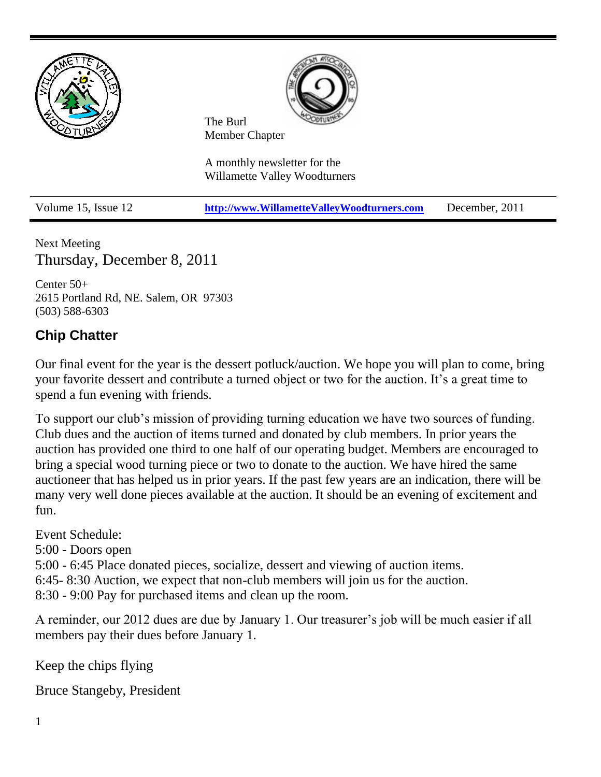

Next Meeting Thursday, December 8, 2011

Center 50+ 2615 Portland Rd, NE. Salem, OR 97303 (503) 588-6303

# **Chip Chatter**

Our final event for the year is the dessert potluck/auction. We hope you will plan to come, bring your favorite dessert and contribute a turned object or two for the auction. It's a great time to spend a fun evening with friends.

To support our club's mission of providing turning education we have two sources of funding. Club dues and the auction of items turned and donated by club members. In prior years the auction has provided one third to one half of our operating budget. Members are encouraged to bring a special wood turning piece or two to donate to the auction. We have hired the same auctioneer that has helped us in prior years. If the past few years are an indication, there will be many very well done pieces available at the auction. It should be an evening of excitement and fun.

Event Schedule:

5:00 - Doors open

5:00 - 6:45 Place donated pieces, socialize, dessert and viewing of auction items.

6:45- 8:30 Auction, we expect that non-club members will join us for the auction.

8:30 - 9:00 Pay for purchased items and clean up the room.

A reminder, our 2012 dues are due by January 1. Our treasurer's job will be much easier if all members pay their dues before January 1.

Keep the chips flying

Bruce Stangeby, President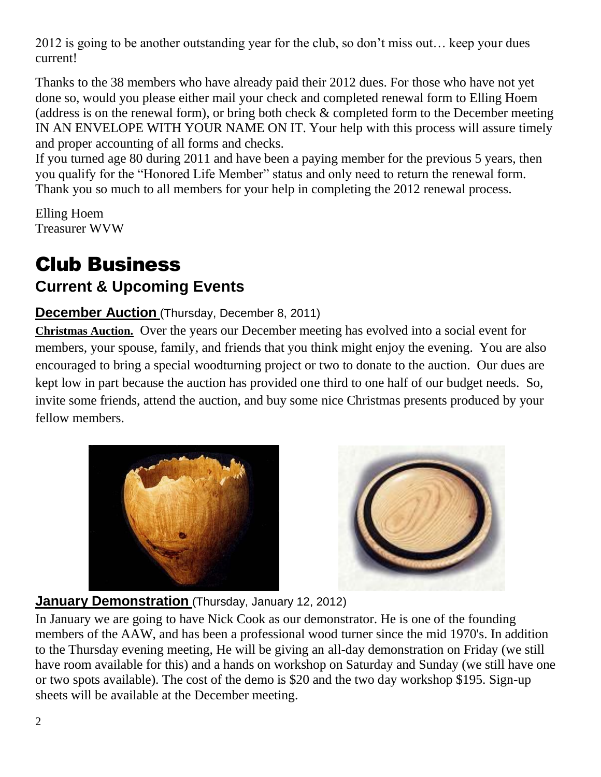2012 is going to be another outstanding year for the club, so don't miss out… keep your dues current!

Thanks to the 38 members who have already paid their 2012 dues. For those who have not yet done so, would you please either mail your check and completed renewal form to Elling Hoem (address is on the renewal form), or bring both check & completed form to the December meeting IN AN ENVELOPE WITH YOUR NAME ON IT. Your help with this process will assure timely and proper accounting of all forms and checks.

If you turned age 80 during 2011 and have been a paying member for the previous 5 years, then you qualify for the "Honored Life Member" status and only need to return the renewal form. Thank you so much to all members for your help in completing the 2012 renewal process.

Elling Hoem Treasurer WVW

# Club Business **Current & Upcoming Events**

## **December Auction** (Thursday, December 8, 2011)

**Christmas Auction.** Over the years our December meeting has evolved into a social event for members, your spouse, family, and friends that you think might enjoy the evening. You are also encouraged to bring a special woodturning project or two to donate to the auction. Our dues are kept low in part because the auction has provided one third to one half of our budget needs. So, invite some friends, attend the auction, and buy some nice Christmas presents produced by your fellow members.





## **January Demonstration** (Thursday, January 12, 2012)

In January we are going to have Nick Cook as our demonstrator. He is one of the founding members of the AAW, and has been a professional wood turner since the mid 1970's. In addition to the Thursday evening meeting, He will be giving an all-day demonstration on Friday (we still have room available for this) and a hands on workshop on Saturday and Sunday (we still have one or two spots available). The cost of the demo is \$20 and the two day workshop \$195. Sign-up sheets will be available at the December meeting.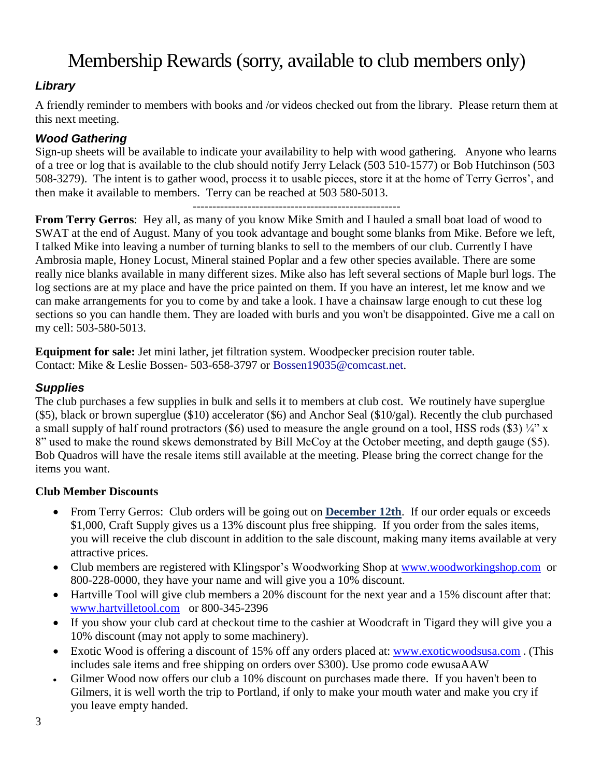# Membership Rewards (sorry, available to club members only)

## *Library*

A friendly reminder to members with books and /or videos checked out from the library. Please return them at this next meeting.

### *Wood Gathering*

Sign-up sheets will be available to indicate your availability to help with wood gathering. Anyone who learns of a tree or log that is available to the club should notify Jerry Lelack (503 510-1577) or Bob Hutchinson (503 508-3279). The intent is to gather wood, process it to usable pieces, store it at the home of Terry Gerros', and then make it available to members. Terry can be reached at 503 580-5013.

----------------------------------------------------- **From Terry Gerros**: Hey all, as many of you know Mike Smith and I hauled a small boat load of wood to SWAT at the end of August. Many of you took advantage and bought some blanks from Mike. Before we left, I talked Mike into leaving a number of turning blanks to sell to the members of our club. Currently I have Ambrosia maple, Honey Locust, Mineral stained Poplar and a few other species available. There are some really nice blanks available in many different sizes. Mike also has left several sections of Maple burl logs. The log sections are at my place and have the price painted on them. If you have an interest, let me know and we can make arrangements for you to come by and take a look. I have a chainsaw large enough to cut these log sections so you can handle them. They are loaded with burls and you won't be disappointed. Give me a call on my cell: 503-580-5013.

**Equipment for sale:** Jet mini lather, jet filtration system. Woodpecker precision router table. Contact: Mike & Leslie Bossen- 503-658-3797 or Bossen19035@comcast.net.

#### *Supplies*

The club purchases a few supplies in bulk and sells it to members at club cost. We routinely have superglue (\$5), black or brown superglue (\$10) accelerator (\$6) and Anchor Seal (\$10/gal). Recently the club purchased a small supply of half round protractors (\$6) used to measure the angle ground on a tool, HSS rods (\$3)  $\frac{1}{4}$ " x 8" used to make the round skews demonstrated by Bill McCoy at the October meeting, and depth gauge (\$5). Bob Quadros will have the resale items still available at the meeting. Please bring the correct change for the items you want.

### **Club Member Discounts**

- From Terry Gerros: Club orders will be going out on **December 12th**. If our order equals or exceeds \$1,000, Craft Supply gives us a 13% discount plus free shipping. If you order from the sales items, you will receive the club discount in addition to the sale discount, making many items available at very attractive prices.
- Club members are registered with Klingspor's Woodworking Shop at [www.woodworkingshop.com](http://www.woodworkingshop.com/) or 800-228-0000, they have your name and will give you a 10% discount.
- Hartville Tool will give club members a 20% discount for the next year and a 15% discount after that: [www.hartvilletool.com](http://www.hartvilletool.com/) or 800-345-2396
- If you show your club card at checkout time to the cashier at Woodcraft in Tigard they will give you a 10% discount (may not apply to some machinery).
- Exotic Wood is offering a discount of 15% off any orders placed at: [www.exoticwoodsusa.com](http://www.exoticwoodsusa.com/). (This includes sale items and free shipping on orders over \$300). Use promo code ewusaAAW
- Gilmer Wood now offers our club a 10% discount on purchases made there. If you haven't been to Gilmers, it is well worth the trip to Portland, if only to make your mouth water and make you cry if you leave empty handed.